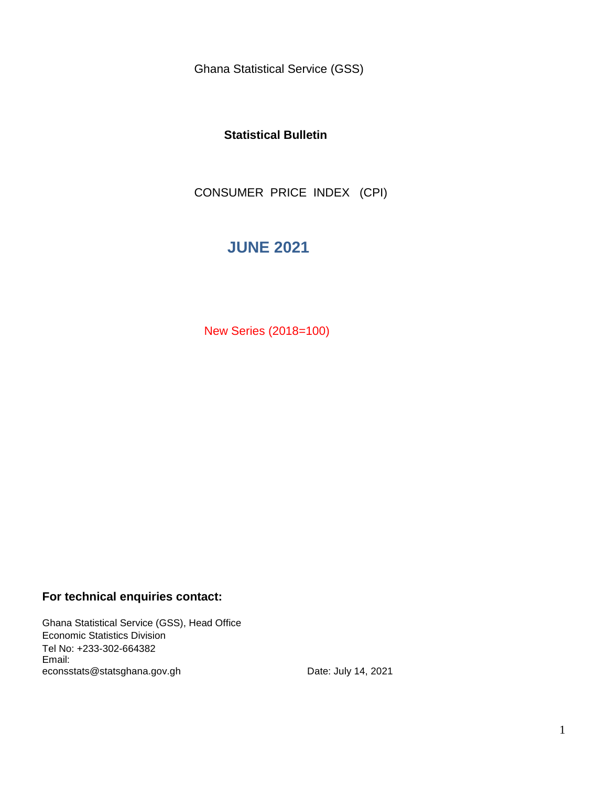Ghana Statistical Service (GSS)

### **Statistical Bulletin**

CONSUMER PRICE INDEX (CPI)

## **JUNE 2021**

New Series (2018=100)

### **For technical enquiries contact:**

Ghana Statistical Service (GSS), Head Office Economic Statistics Division Tel No: +233-302-664382 Email: econsstats@statsghana.gov.gh

Date: July 14, 2021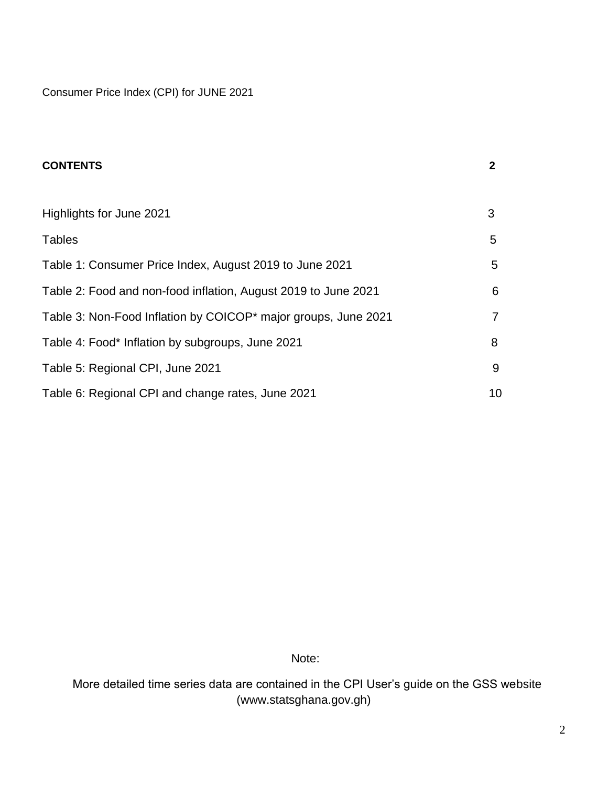Consumer Price Index (CPI) for JUNE 2021

| <b>CONTENTS</b>                                                | $\mathbf{2}$ |
|----------------------------------------------------------------|--------------|
|                                                                |              |
| Highlights for June 2021                                       | 3            |
| <b>Tables</b>                                                  | 5            |
| Table 1: Consumer Price Index, August 2019 to June 2021        | 5            |
| Table 2: Food and non-food inflation, August 2019 to June 2021 | 6            |
| Table 3: Non-Food Inflation by COICOP* major groups, June 2021 | 7            |
| Table 4: Food* Inflation by subgroups, June 2021               | 8            |
| Table 5: Regional CPI, June 2021                               | 9            |
| Table 6: Regional CPI and change rates, June 2021              | 10           |

Note:

 More detailed time series data are contained in the CPI User's guide on the GSS website (www.statsghana.gov.gh)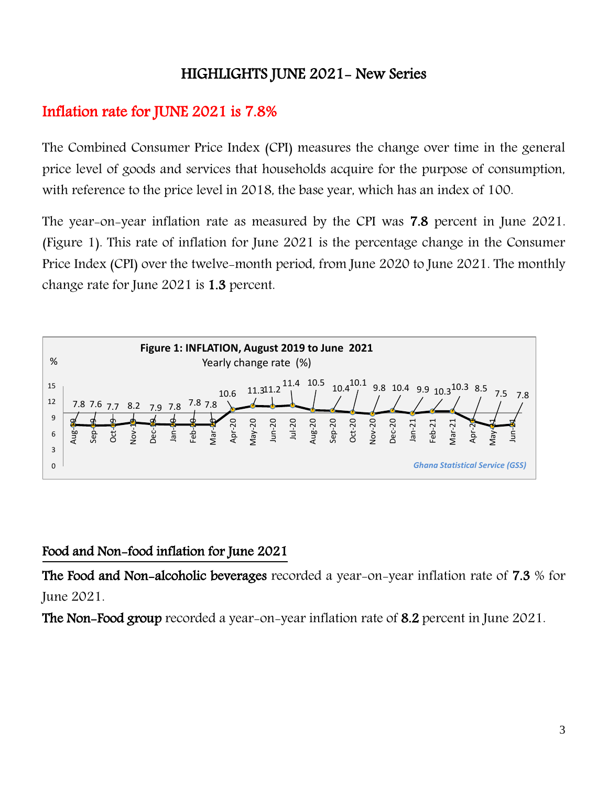# HIGHLIGHTS JUNE 2021- New Series

# Inflation rate for JUNE 2021 is 7.8%

The Combined Consumer Price Index (CPI) measures the change over time in the general price level of goods and services that households acquire for the purpose of consumption, with reference to the price level in 2018, the base year, which has an index of 100.

The year-on-year inflation rate as measured by the CPI was 7.8 percent in June 2021. (Figure 1). This rate of inflation for June 2021 is the percentage change in the Consumer Price Index (CPI) over the twelve-month period, from June 2020 to June 2021. The monthly change rate for June 2021 is 1.3 percent.



## Food and Non-food inflation for June 2021

The Food and Non-alcoholic beverages recorded a year-on-year inflation rate of 7.3 % for June 2021.

The Non-Food group recorded a year-on-year inflation rate of 8.2 percent in June 2021.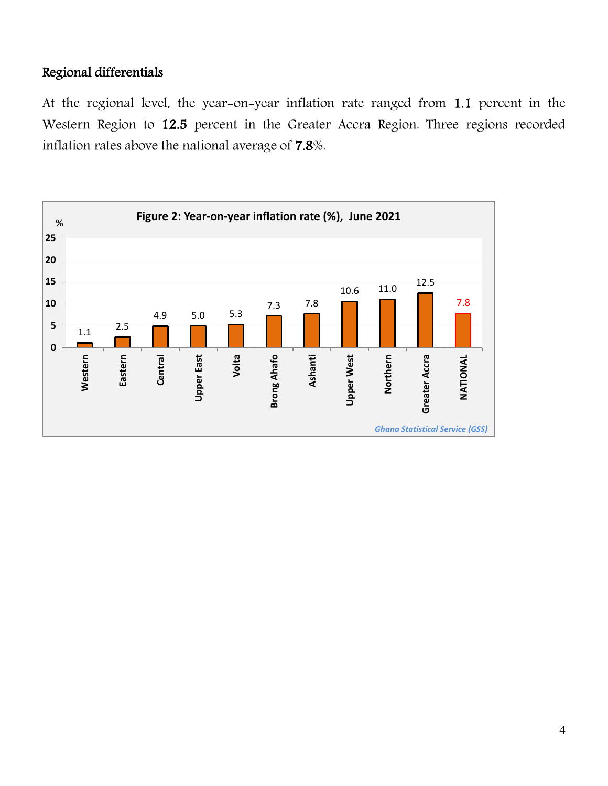## Regional differentials

At the regional level, the year-on-year inflation rate ranged from 1.1 percent in the Western Region to 12.5 percent in the Greater Accra Region. Three regions recorded inflation rates above the national average of 7.8%.

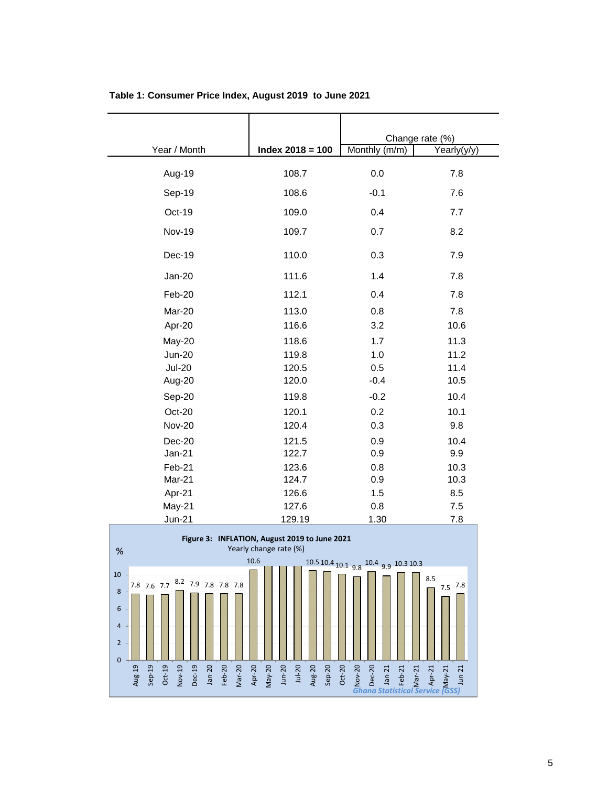|                                                                                         |                    |                                           | Change rate (%)           |
|-----------------------------------------------------------------------------------------|--------------------|-------------------------------------------|---------------------------|
| Year / Month                                                                            | Index $2018 = 100$ | Monthly (m/m)                             | $\overline{Y}$ early(y/y) |
|                                                                                         |                    |                                           |                           |
| Aug-19                                                                                  | 108.7              | 0.0                                       | 7.8                       |
| Sep-19                                                                                  | 108.6              | $-0.1$                                    | 7.6                       |
| Oct-19                                                                                  | 109.0              | 0.4                                       | 7.7                       |
| <b>Nov-19</b>                                                                           | 109.7              | 0.7                                       | 8.2                       |
| Dec-19                                                                                  | 110.0              | 0.3                                       | 7.9                       |
| <b>Jan-20</b>                                                                           | 111.6              | 1.4                                       | 7.8                       |
| Feb-20                                                                                  | 112.1              | 0.4                                       | 7.8                       |
| Mar-20                                                                                  | 113.0              | 0.8                                       | 7.8                       |
| Apr-20                                                                                  | 116.6              | 3.2                                       | 10.6                      |
| May-20                                                                                  | 118.6              | 1.7                                       | 11.3                      |
| <b>Jun-20</b>                                                                           | 119.8              | 1.0                                       | 11.2                      |
| <b>Jul-20</b>                                                                           | 120.5              | 0.5                                       | 11.4                      |
| Aug-20                                                                                  | 120.0              | $-0.4$                                    | 10.5                      |
| Sep-20                                                                                  | 119.8              | $-0.2$                                    | 10.4                      |
| Oct-20                                                                                  | 120.1              | 0.2                                       | 10.1                      |
| <b>Nov-20</b>                                                                           | 120.4              | 0.3                                       | 9.8                       |
| Dec-20                                                                                  | 121.5              | 0.9                                       | 10.4                      |
| $Jan-21$                                                                                | 122.7              | 0.9                                       | 9.9                       |
| Feb-21                                                                                  | 123.6              | 0.8                                       | 10.3                      |
| Mar-21                                                                                  | 124.7              | 0.9                                       | 10.3                      |
| Apr-21                                                                                  | 126.6              | 1.5                                       | 8.5                       |
| May-21                                                                                  | 127.6              | 0.8                                       | 7.5                       |
| <b>Jun-21</b>                                                                           | 129.19             | 1.30                                      | 7.8                       |
| Figure 3: INFLATION, August 2019 to June 2021<br>Yearly change rate (%)<br>$\%$<br>10.6 |                    |                                           |                           |
| 10<br>8.2 7.9 7.8 7.8 7.8<br>7.8 7.6 7.7<br>8                                           |                    | $10.5$ 10.4 10.1 9.8 $10.4$ 9.9 10.3 10.3 | 8.5<br>$7.5$ 7.8          |

**Table 1: Consumer Price Index, August 2019 to June 2021**

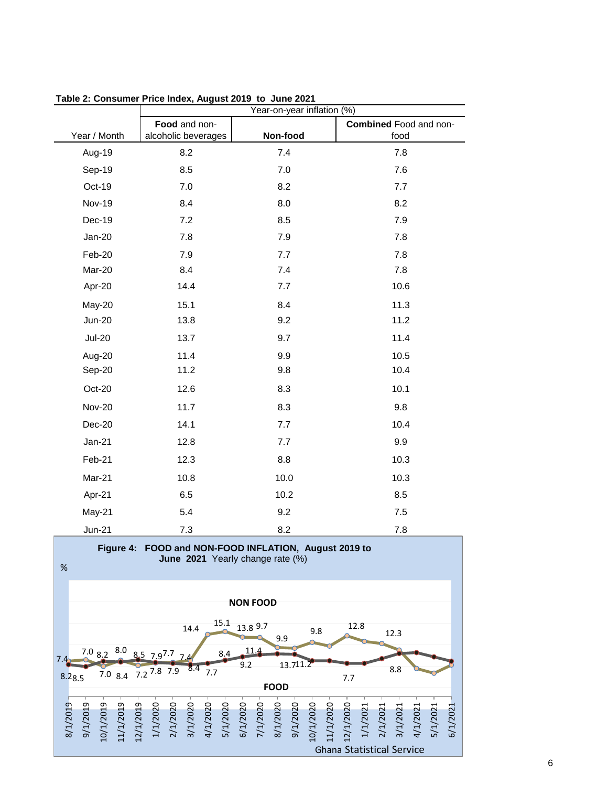|               | Year-on-year inflation (%)           |          |                                |
|---------------|--------------------------------------|----------|--------------------------------|
| Year / Month  | Food and non-<br>alcoholic beverages | Non-food | Combined Food and non-<br>food |
| Aug-19        | 8.2                                  | 7.4      | 7.8                            |
|               |                                      |          |                                |
| Sep-19        | 8.5                                  | 7.0      | 7.6                            |
| Oct-19        | 7.0                                  | 8.2      | 7.7                            |
| <b>Nov-19</b> | 8.4                                  | 8.0      | 8.2                            |
| Dec-19        | 7.2                                  | 8.5      | 7.9                            |
| <b>Jan-20</b> | 7.8                                  | 7.9      | 7.8                            |
| Feb-20        | 7.9                                  | 7.7      | 7.8                            |
| Mar-20        | 8.4                                  | 7.4      | 7.8                            |
| Apr-20        | 14.4                                 | 7.7      | 10.6                           |
| May-20        | 15.1                                 | 8.4      | 11.3                           |
| <b>Jun-20</b> | 13.8                                 | 9.2      | 11.2                           |
| <b>Jul-20</b> | 13.7                                 | 9.7      | 11.4                           |
| Aug-20        | 11.4                                 | 9.9      | 10.5                           |
| Sep-20        | 11.2                                 | 9.8      | 10.4                           |
| Oct-20        | 12.6                                 | 8.3      | 10.1                           |
| <b>Nov-20</b> | 11.7                                 | 8.3      | 9.8                            |
| Dec-20        | 14.1                                 | 7.7      | 10.4                           |
| Jan-21        | 12.8                                 | 7.7      | 9.9                            |
| Feb-21        | 12.3                                 | 8.8      | 10.3                           |
| Mar-21        | 10.8                                 | 10.0     | 10.3                           |
| Apr-21        | 6.5                                  | 10.2     | 8.5                            |
| May-21        | 5.4                                  | 9.2      | 7.5                            |
| <b>Jun-21</b> | 7.3                                  | 8.2      | 7.8                            |

**Table 2: Consumer Price Index, August 2019 to June 2021**

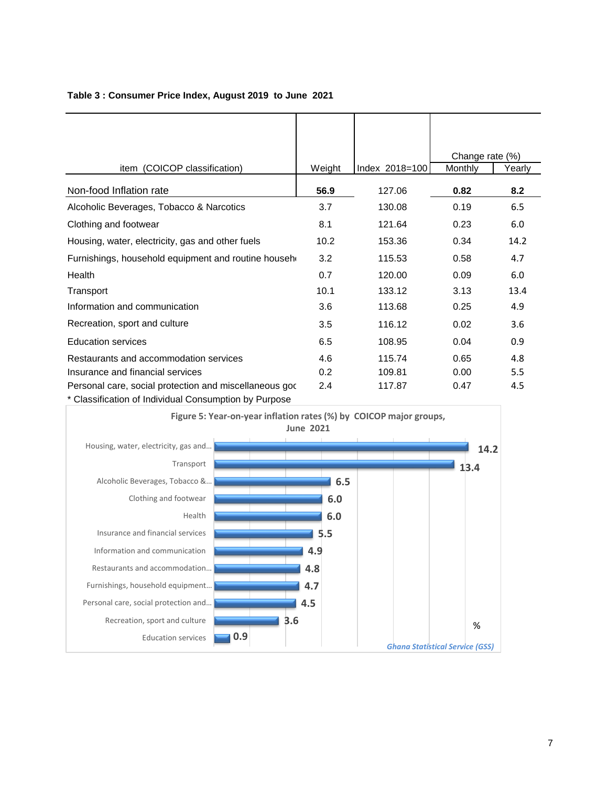|                                                                                                                 |        |                | Change rate (%) |        |
|-----------------------------------------------------------------------------------------------------------------|--------|----------------|-----------------|--------|
| item (COICOP classification)                                                                                    | Weight | Index 2018=100 | Monthly         | Yearly |
| Non-food Inflation rate                                                                                         | 56.9   | 127.06         | 0.82            | 8.2    |
| Alcoholic Beverages, Tobacco & Narcotics                                                                        | 3.7    | 130.08         | 0.19            | 6.5    |
| Clothing and footwear                                                                                           | 8.1    | 121.64         | 0.23            | 6.0    |
| Housing, water, electricity, gas and other fuels                                                                | 10.2   | 153.36         | 0.34            | 14.2   |
| Furnishings, household equipment and routine househ                                                             | 3.2    | 115.53         | 0.58            | 4.7    |
| Health                                                                                                          | 0.7    | 120.00         | 0.09            | 6.0    |
| Transport                                                                                                       | 10.1   | 133.12         | 3.13            | 13.4   |
| Information and communication                                                                                   | 3.6    | 113.68         | 0.25            | 4.9    |
| Recreation, sport and culture                                                                                   | 3.5    | 116.12         | 0.02            | 3.6    |
| <b>Education services</b>                                                                                       | 6.5    | 108.95         | 0.04            | 0.9    |
| Restaurants and accommodation services                                                                          | 4.6    | 115.74         | 0.65            | 4.8    |
| Insurance and financial services                                                                                | 0.2    | 109.81         | 0.00            | 5.5    |
| Personal care, social protection and miscellaneous god<br>* Classification of Individual Consumption by Purpose | 2.4    | 117.87         | 0.47            | 4.5    |

#### **Table 3 : Consumer Price Index, August 2019 to June 2021**

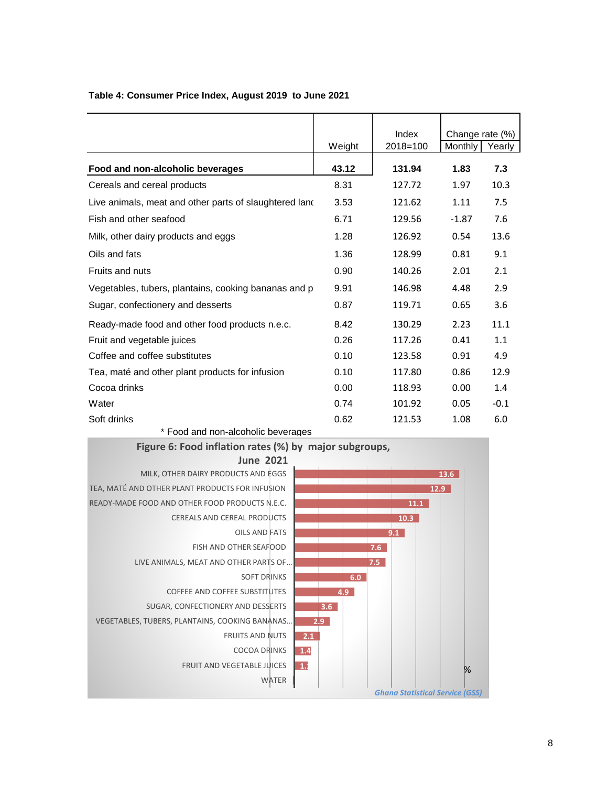|                                                        |        | Index        | Change rate (%) |        |
|--------------------------------------------------------|--------|--------------|-----------------|--------|
|                                                        | Weight | $2018 = 100$ | Monthly         | Yearly |
| Food and non-alcoholic beverages                       | 43.12  | 131.94       | 1.83            | 7.3    |
| Cereals and cereal products                            | 8.31   | 127.72       | 1.97            | 10.3   |
| Live animals, meat and other parts of slaughtered land | 3.53   | 121.62       | 1.11            | 7.5    |
| Fish and other seafood                                 | 6.71   | 129.56       | $-1.87$         | 7.6    |
| Milk, other dairy products and eggs                    | 1.28   | 126.92       | 0.54            | 13.6   |
| Oils and fats                                          | 1.36   | 128.99       | 0.81            | 9.1    |
| Fruits and nuts                                        | 0.90   | 140.26       | 2.01            | 2.1    |
| Vegetables, tubers, plantains, cooking bananas and p   | 9.91   | 146.98       | 4.48            | 2.9    |
| Sugar, confectionery and desserts                      | 0.87   | 119.71       | 0.65            | 3.6    |
| Ready-made food and other food products n.e.c.         | 8.42   | 130.29       | 2.23            | 11.1   |
| Fruit and vegetable juices                             | 0.26   | 117.26       | 0.41            | 1.1    |
| Coffee and coffee substitutes                          | 0.10   | 123.58       | 0.91            | 4.9    |
| Tea, maté and other plant products for infusion        | 0.10   | 117.80       | 0.86            | 12.9   |
| Cocoa drinks                                           | 0.00   | 118.93       | 0.00            | 1.4    |
| Water                                                  | 0.74   | 101.92       | 0.05            | $-0.1$ |
| Soft drinks                                            | 0.62   | 121.53       | 1.08            | 6.0    |

### **Table 4: Consumer Price Index, August 2019 to June 2021**

\* Food and non-alcoholic beverages





**13.6**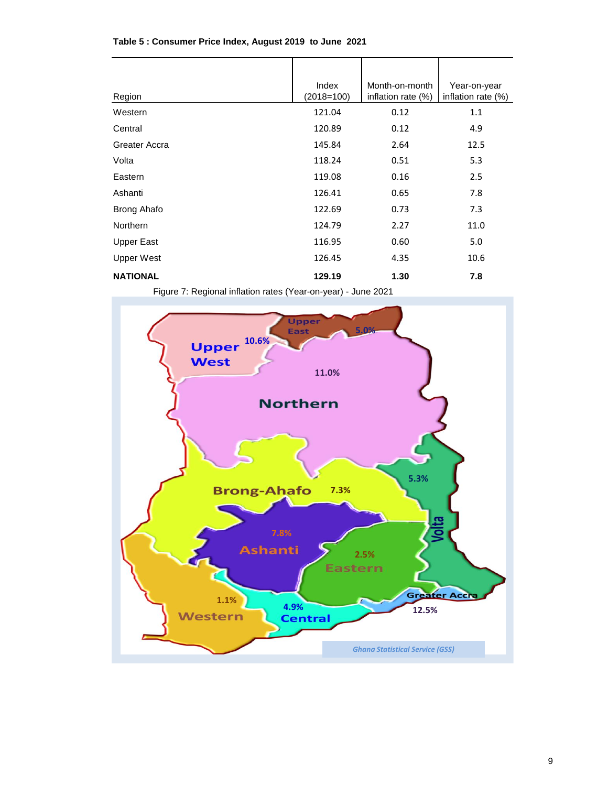| Region             | Index<br>$(2018=100)$ | Month-on-month<br>inflation rate (%) | Year-on-year<br>inflation rate (%) |
|--------------------|-----------------------|--------------------------------------|------------------------------------|
| Western            | 121.04                | 0.12                                 | 1.1                                |
| Central            | 120.89                | 0.12                                 | 4.9                                |
| Greater Accra      | 145.84                | 2.64                                 | 12.5                               |
| Volta              | 118.24                | 0.51                                 | 5.3                                |
| Eastern            | 119.08                | 0.16                                 | 2.5                                |
| Ashanti            | 126.41                | 0.65                                 | 7.8                                |
| <b>Brong Ahafo</b> | 122.69                | 0.73                                 | 7.3                                |
| <b>Northern</b>    | 124.79                | 2.27                                 | 11.0                               |
| <b>Upper East</b>  | 116.95                | 0.60                                 | 5.0                                |
| Upper West         | 126.45                | 4.35                                 | 10.6                               |
| <b>NATIONAL</b>    | 129.19                | 1.30                                 | 7.8                                |

#### **Table 5 : Consumer Price Index, August 2019 to June 2021**

Figure 7: Regional inflation rates (Year-on-year) - June 2021